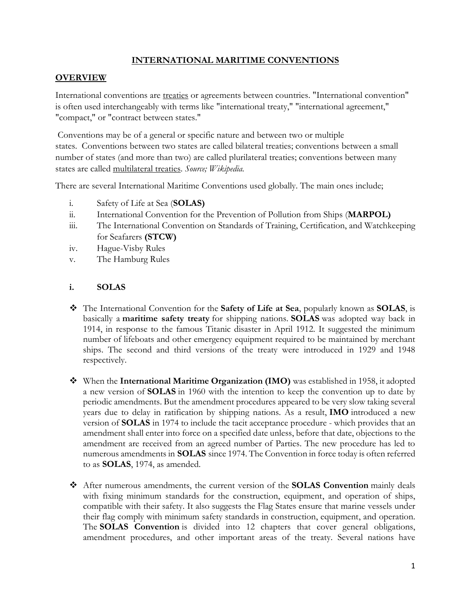## **INTERNATIONAL MARITIME CONVENTIONS**

## **OVERVIEW**

International conventions are [treaties](https://www.law.cornell.edu/wex/treaty) or agreements between countries. "International convention" is often used interchangeably with terms like "international treaty," "international agreement," "compact," or "contract between states."

Conventions may be of a general or specific nature and between two or multiple states. Conventions between two states are called bilateral treaties; conventions between a small number of states (and more than two) are called plurilateral treaties; conventions between many states are called [multilateral treaties.](https://www.law.cornell.edu/wex/multilateral_treaties) *Source; Wikipedia.*

There are several International Maritime Conventions used globally. The main ones include;

- i. Safety of Life at Sea (**SOLAS)**
- ii. International Convention for the Prevention of Pollution from Ships (**MARPOL)**
- iii. The International Convention on Standards of Training, Certification, and Watchkeeping for Seafarers **(STCW)**
- iv. Hague-Visby Rules
- v. The Hamburg Rules

### **i. SOLAS**

- ❖ The International Convention for the **Safety of Life at Sea**, popularly known as **SOLAS**, is basically a **maritime safety treaty** for shipping nations. **SOLAS** was adopted way back in 1914, in response to the famous Titanic disaster in April 1912. It suggested the minimum number of lifeboats and other emergency equipment required to be maintained by merchant ships. The second and third versions of the treaty were introduced in 1929 and 1948 respectively.
- ❖ When the **International Maritime Organization (IMO)** was established in 1958, it adopted a new version of **SOLAS** in 1960 with the intention to keep the convention up to date by periodic amendments. But the amendment procedures appeared to be very slow taking several years due to delay in ratification by shipping nations. As a result, **IMO** introduced a new version of **SOLAS** in 1974 to include the tacit acceptance procedure - which provides that an amendment shall enter into force on a specified date unless, before that date, objections to the amendment are received from an agreed number of Parties. The new procedure has led to numerous amendments in **SOLAS** since 1974. The Convention in force today is often referred to as **SOLAS**, 1974, as amended.
- ❖ After numerous amendments, the current version of the **SOLAS Convention** mainly deals with fixing minimum standards for the construction, equipment, and operation of ships, compatible with their safety. It also suggests the Flag States ensure that marine vessels under their flag comply with minimum safety standards in construction, equipment, and operation. The **SOLAS Convention** is divided into 12 chapters that cover general obligations, amendment procedures, and other important areas of the treaty. Several nations have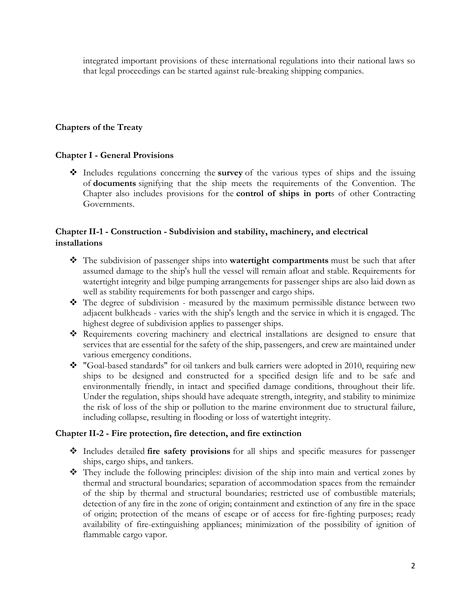integrated important provisions of these international regulations into their national laws so that legal proceedings can be started against rule-breaking shipping companies.

## **Chapters of the Treaty**

### **Chapter I - General Provisions**

❖ Includes regulations concerning the **survey** of the various types of ships and the issuing of **documents** signifying that the ship meets the requirements of the Convention. The Chapter also includes provisions for the **control of ships in port**s of other Contracting Governments.

## **Chapter II-1 - Construction - Subdivision and stability, machinery, and electrical installations**

- ❖ The subdivision of passenger ships into **watertight compartments** must be such that after assumed damage to the ship's hull the vessel will remain afloat and stable. Requirements for watertight integrity and bilge pumping arrangements for passenger ships are also laid down as well as stability requirements for both passenger and cargo ships.
- ❖ The degree of subdivision measured by the maximum permissible distance between two adjacent bulkheads - varies with the ship's length and the service in which it is engaged. The highest degree of subdivision applies to passenger ships.
- ❖ Requirements covering machinery and electrical installations are designed to ensure that services that are essential for the safety of the ship, passengers, and crew are maintained under various emergency conditions.
- ❖ "Goal-based standards" for oil tankers and bulk carriers were adopted in 2010, requiring new ships to be designed and constructed for a specified design life and to be safe and environmentally friendly, in intact and specified damage conditions, throughout their life. Under the regulation, ships should have adequate strength, integrity, and stability to minimize the risk of loss of the ship or pollution to the marine environment due to structural failure, including collapse, resulting in flooding or loss of watertight integrity.

### **Chapter II-2 - Fire protection, fire detection, and fire extinction**

- ❖ Includes detailed **fire safety provisions** for all ships and specific measures for passenger ships, cargo ships, and tankers.
- ❖ They include the following principles: division of the ship into main and vertical zones by thermal and structural boundaries; separation of accommodation spaces from the remainder of the ship by thermal and structural boundaries; restricted use of combustible materials; detection of any fire in the zone of origin; containment and extinction of any fire in the space of origin; protection of the means of escape or of access for fire-fighting purposes; ready availability of fire-extinguishing appliances; minimization of the possibility of ignition of flammable cargo vapor.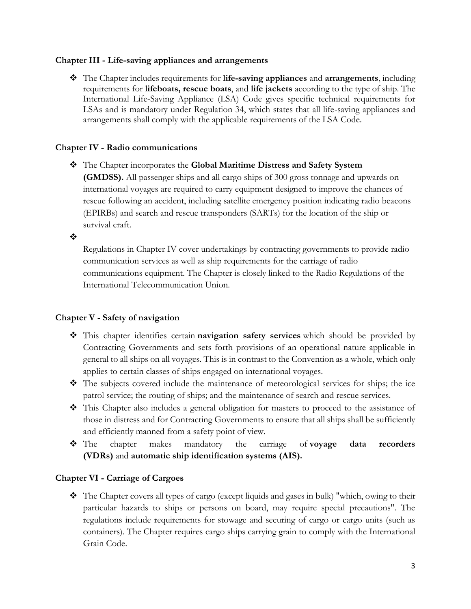#### **Chapter III - Life-saving appliances and arrangements**

❖ The Chapter includes requirements for **life-saving appliances** and **arrangements**, including requirements for **lifeboats, rescue boats**, and **life jackets** according to the type of ship. The International Life-Saving Appliance (LSA) Code gives specific technical requirements for LSAs and is mandatory under Regulation 34, which states that all life-saving appliances and arrangements shall comply with the applicable requirements of the LSA Code.

### **Chapter IV - Radio communications**

❖ The Chapter incorporates the **Global Maritime Distress and Safety System (GMDSS).** All passenger ships and all cargo ships of 300 gross tonnage and upwards on international voyages are required to carry equipment designed to improve the chances of rescue following an accident, including satellite emergency position indicating radio beacons (EPIRBs) and search and rescue transponders (SARTs) for the location of the ship or survival craft.

❖

Regulations in Chapter IV cover undertakings by contracting governments to provide radio communication services as well as ship requirements for the carriage of radio communications equipment. The Chapter is closely linked to the Radio Regulations of the International Telecommunication Union.

### **Chapter V - Safety of navigation**

- ❖ This chapter identifies certain **navigation safety services** which should be provided by Contracting Governments and sets forth provisions of an operational nature applicable in general to all ships on all voyages. This is in contrast to the Convention as a whole, which only applies to certain classes of ships engaged on international voyages.
- ❖ The subjects covered include the maintenance of meteorological services for ships; the ice patrol service; the routing of ships; and the maintenance of search and rescue services.
- ❖ This Chapter also includes a general obligation for masters to proceed to the assistance of those in distress and for Contracting Governments to ensure that all ships shall be sufficiently and efficiently manned from a safety point of view.
- ❖ The chapter makes mandatory the carriage of **voyage data recorders (VDRs)** and **automatic ship identification systems (AIS).**

### **Chapter VI - Carriage of Cargoes**

❖ The Chapter covers all types of cargo (except liquids and gases in bulk) "which, owing to their particular hazards to ships or persons on board, may require special precautions". The regulations include requirements for stowage and securing of cargo or cargo units (such as containers). The Chapter requires cargo ships carrying grain to comply with the International Grain Code.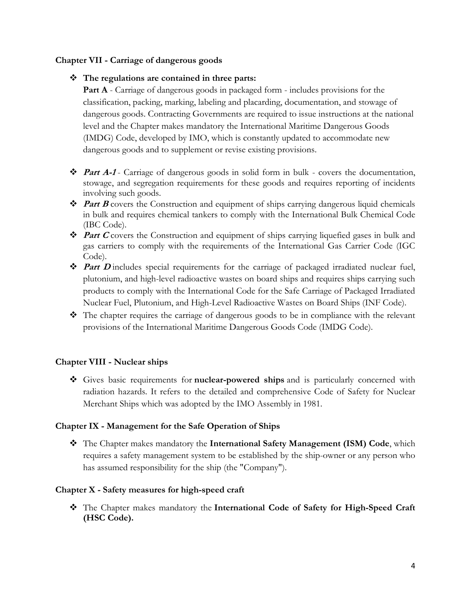#### **Chapter VII - Carriage of dangerous goods**

## ❖ **The regulations are contained in three parts:**

**Part A** - Carriage of dangerous goods in packaged form - includes provisions for the classification, packing, marking, labeling and placarding, documentation, and stowage of dangerous goods. Contracting Governments are required to issue instructions at the national level and the Chapter makes mandatory the International Maritime Dangerous Goods (IMDG) Code, developed by IMO, which is constantly updated to accommodate new dangerous goods and to supplement or revise existing provisions.

- ❖ **Part A-1** Carriage of dangerous goods in solid form in bulk covers the documentation, stowage, and segregation requirements for these goods and requires reporting of incidents involving such goods.
- ❖ **Part <sup>B</sup>** covers the Construction and equipment of ships carrying dangerous liquid chemicals in bulk and requires chemical tankers to comply with the International Bulk Chemical Code (IBC Code).
- ❖ **Part <sup>C</sup>** covers the Construction and equipment of ships carrying liquefied gases in bulk and gas carriers to comply with the requirements of the International Gas Carrier Code (IGC Code).
- ❖ **Part <sup>D</sup>** includes special requirements for the carriage of packaged irradiated nuclear fuel, plutonium, and high-level radioactive wastes on board ships and requires ships carrying such products to comply with the International Code for the Safe Carriage of Packaged Irradiated Nuclear Fuel, Plutonium, and High-Level Radioactive Wastes on Board Ships (INF Code).
- ❖ The chapter requires the carriage of dangerous goods to be in compliance with the relevant provisions of the International Maritime Dangerous Goods Code (IMDG Code).

## **Chapter VIII - Nuclear ships**

❖ Gives basic requirements for **nuclear-powered ships** and is particularly concerned with radiation hazards. It refers to the detailed and comprehensive Code of Safety for Nuclear Merchant Ships which was adopted by the IMO Assembly in 1981.

## **Chapter IX - Management for the Safe Operation of Ships**

❖ The Chapter makes mandatory the **International Safety Management (ISM) Code**, which requires a safety management system to be established by the ship-owner or any person who has assumed responsibility for the ship (the "Company").

## **Chapter X - Safety measures for high-speed craft**

❖ The Chapter makes mandatory the **International Code of Safety for High-Speed Craft (HSC Code).**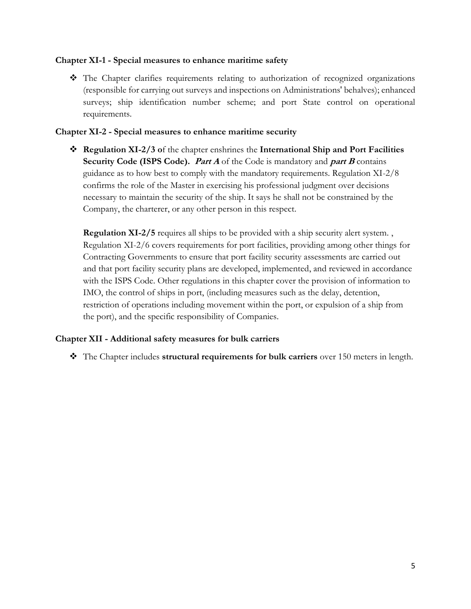### **Chapter XI-1 - Special measures to enhance maritime safety**

❖ The Chapter clarifies requirements relating to authorization of recognized organizations (responsible for carrying out surveys and inspections on Administrations' behalves); enhanced surveys; ship identification number scheme; and port State control on operational requirements.

#### **Chapter XI-2 - Special measures to enhance maritime security**

❖ **Regulation XI-2/3 o**f the chapter enshrines the **International Ship and Port Facilities Security Code (ISPS Code). Part <sup>A</sup>** of the Code is mandatory and **part <sup>B</sup>** contains guidance as to how best to comply with the mandatory requirements. Regulation XI-2/8 confirms the role of the Master in exercising his professional judgment over decisions necessary to maintain the security of the ship. It says he shall not be constrained by the Company, the charterer, or any other person in this respect.

**Regulation XI-2/5** requires all ships to be provided with a ship security alert system. Regulation XI-2/6 covers requirements for port facilities, providing among other things for Contracting Governments to ensure that port facility security assessments are carried out and that port facility security plans are developed, implemented, and reviewed in accordance with the ISPS Code. Other regulations in this chapter cover the provision of information to IMO, the control of ships in port, (including measures such as the delay, detention, restriction of operations including movement within the port, or expulsion of a ship from the port), and the specific responsibility of Companies.

### **Chapter XII - Additional safety measures for bulk carriers**

❖ The Chapter includes **structural requirements for bulk carriers** over 150 meters in length.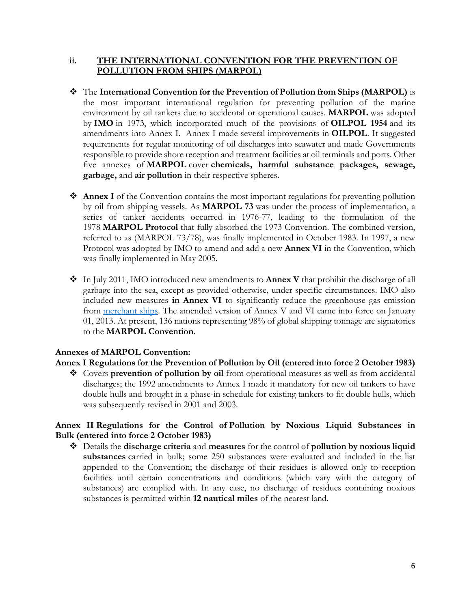## **ii. THE INTERNATIONAL CONVENTION FOR THE PREVENTION OF POLLUTION FROM SHIPS (MARPOL)**

- ❖ The **International Convention for the Prevention of Pollution from Ships (MARPOL)** is the most important international regulation for preventing pollution of the marine environment by oil tankers due to accidental or operational causes. **MARPOL** was adopted by **IMO** in 1973, which incorporated much of the provisions of **OILPOL 1954** and its amendments into Annex I. Annex I made several improvements in **OILPOL**. It suggested requirements for regular monitoring of oil discharges into seawater and made Governments responsible to provide shore reception and treatment facilities at oil terminals and ports. Other five annexes of **MARPOL** cover **chemicals, harmful substance packages, sewage, garbage,** and **air pollution** in their respective spheres.
- ❖ **Annex I** of the Convention contains the most important regulations for preventing pollution by oil from shipping vessels. As **MARPOL 73** was under the process of implementation, a series of tanker accidents occurred in 1976-77, leading to the formulation of the 1978 **MARPOL Protocol** that fully absorbed the 1973 Convention. The combined version, referred to as (MARPOL 73/78), was finally implemented in October 1983. In 1997, a new Protocol was adopted by IMO to amend and add a new **Annex VI** in the Convention, which was finally implemented in May 2005.
- ❖ In July 2011, IMO introduced new amendments to **Annex V** that prohibit the discharge of all garbage into the sea, except as provided otherwise, under specific circumstances. IMO also included new measures **in Annex VI** to significantly reduce the greenhouse gas emission from [merchant ships.](http://maritime-connector.com/wiki/merchant-vessels/) The amended version of Annex V and VI came into force on January 01, 2013. At present, 136 nations representing 98% of global shipping tonnage are signatories to the **MARPOL Convention**.

### **Annexes of MARPOL Convention:**

## **Annex I Regulations for the Prevention of Pollution by Oil (entered into force 2 October 1983)**

❖ Covers **prevention of pollution by oil** from operational measures as well as from accidental discharges; the 1992 amendments to Annex I made it mandatory for new oil tankers to have double hulls and brought in a phase-in schedule for existing tankers to fit double hulls, which was subsequently revised in 2001 and 2003.

## **Annex II Regulations for the Control of Pollution by Noxious Liquid Substances in Bulk (entered into force 2 October 1983)**

❖ Details the **discharge criteria** and **measures** for the control of **pollution by noxious liquid substances** carried in bulk; some 250 substances were evaluated and included in the list appended to the Convention; the discharge of their residues is allowed only to reception facilities until certain concentrations and conditions (which vary with the category of substances) are complied with. In any case, no discharge of residues containing noxious substances is permitted within **12 nautical miles** of the nearest land.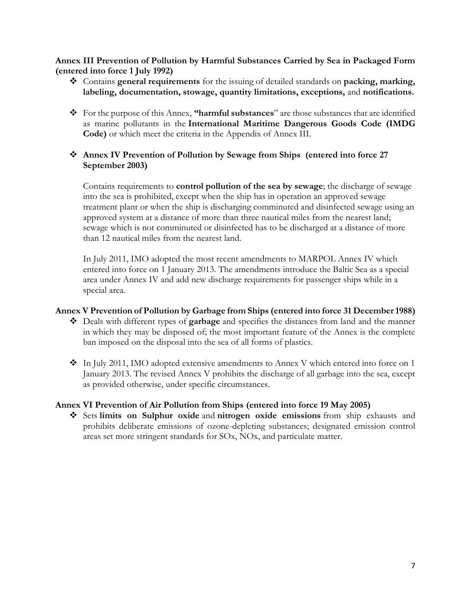**Annex III Prevention of Pollution by Harmful Substances Carried by Sea in Packaged Form (entered into force 1 July 1992)**

- ❖ Contains **general requirements** for the issuing of detailed standards on **packing, marking, labeling, documentation, stowage, quantity limitations, exceptions,** and **notifications.**
- ❖ For the purpose of this Annex, **"harmful substances**" are those substances that are identified as marine pollutants in the **International Maritime Dangerous Goods Code (IMDG Code)** or which meet the criteria in the Appendix of Annex III.

## ❖ **Annex IV Prevention of Pollution by Sewage from Ships (entered into force 27 September 2003)**

Contains requirements to **control pollution of the sea by sewage**; the discharge of sewage into the sea is prohibited, except when the ship has in operation an approved sewage treatment plant or when the ship is discharging comminuted and disinfected sewage using an approved system at a distance of more than three nautical miles from the nearest land; sewage which is not comminuted or disinfected has to be discharged at a distance of more than 12 nautical miles from the nearest land.

In July 2011, IMO adopted the most recent amendments to MARPOL Annex IV which entered into force on 1 January 2013. The amendments introduce the Baltic Sea as a special area under Annex IV and add new discharge requirements for passenger ships while in a special area.

## **Annex V Prevention of Pollution by Garbage from Ships (entered into force 31 December 1988)**

- ❖ Deals with different types of **garbage** and specifies the distances from land and the manner in which they may be disposed of; the most important feature of the Annex is the complete ban imposed on the disposal into the sea of all forms of plastics.
- ❖ In July 2011, IMO adopted extensive amendments to Annex V which entered into force on 1 January 2013. The revised Annex V prohibits the discharge of all garbage into the sea, except as provided otherwise, under specific circumstances.

### **Annex VI Prevention of Air Pollution from Ships (entered into force 19 May 2005)**

❖ Sets **limits on Sulphur oxide** and **nitrogen oxide emissions** from ship exhausts and prohibits deliberate emissions of ozone-depleting substances; designated emission control areas set more stringent standards for SOx, NOx, and particulate matter.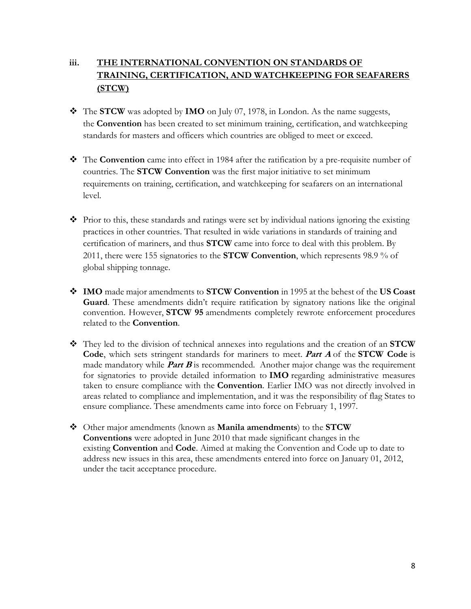# **iii. THE INTERNATIONAL CONVENTION ON STANDARDS OF TRAINING, CERTIFICATION, AND WATCHKEEPING FOR SEAFARERS (STCW)**

- ❖ The **STCW** was adopted by **IMO** on July 07, 1978, in London. As the name suggests, the **Convention** has been created to set minimum training, certification, and watchkeeping standards for masters and officers which countries are obliged to meet or exceed.
- ❖ The **Convention** came into effect in 1984 after the ratification by a pre-requisite number of countries. The **STCW Convention** was the first major initiative to set minimum requirements on training, certification, and watchkeeping for seafarers on an international level.
- ❖ Prior to this, these standards and ratings were set by individual nations ignoring the existing practices in other countries. That resulted in wide variations in standards of training and certification of mariners, and thus **STCW** came into force to deal with this problem. By 2011, there were 155 signatories to the **STCW Convention**, which represents 98.9 % of global shipping tonnage.
- ❖ **IMO** made major amendments to **STCW Convention** in 1995 at the behest of the **US Coast** Guard. These amendments didn't require ratification by signatory nations like the original convention. However, **STCW 95** amendments completely rewrote enforcement procedures related to the **Convention**.
- ❖ They led to the division of technical annexes into regulations and the creation of an **STCW Code**, which sets stringent standards for mariners to meet. **Part <sup>A</sup>** of the **STCW Code** is made mandatory while **Part <sup>B</sup>** is recommended. Another major change was the requirement for signatories to provide detailed information to **IMO** regarding administrative measures taken to ensure compliance with the **Convention**. Earlier IMO was not directly involved in areas related to compliance and implementation, and it was the responsibility of flag States to ensure compliance. These amendments came into force on February 1, 1997.
- ❖ Other major amendments (known as **Manila amendments**) to the **STCW Conventions** were adopted in June 2010 that made significant changes in the existing **Convention** and **Code**. Aimed at making the Convention and Code up to date to address new issues in this area, these amendments entered into force on January 01, 2012, under the tacit acceptance procedure.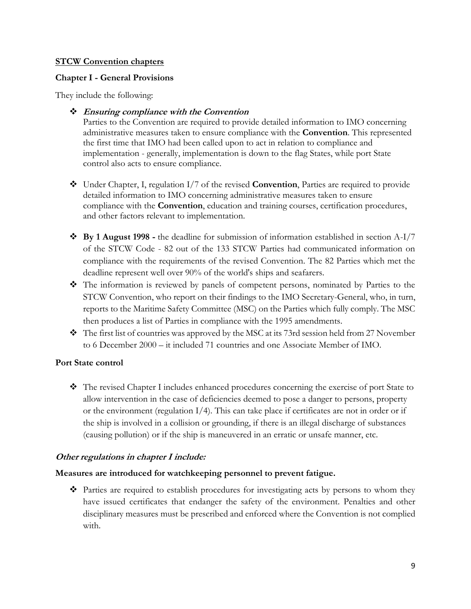### **STCW Convention chapters**

#### **Chapter I - General Provisions**

They include the following:

#### ❖ **Ensuring compliance with the Convention**

Parties to the Convention are required to provide detailed information to IMO concerning administrative measures taken to ensure compliance with the **Convention**. This represented the first time that IMO had been called upon to act in relation to compliance and implementation - generally, implementation is down to the flag States, while port State control also acts to ensure compliance.

- ❖ Under Chapter, I, regulation I/7 of the revised **Convention**, Parties are required to provide detailed information to IMO concerning administrative measures taken to ensure compliance with the **Convention**, education and training courses, certification procedures, and other factors relevant to implementation.
- ❖ **By 1 August 1998 -** the deadline for submission of information established in section A-I/7 of the STCW Code - 82 out of the 133 STCW Parties had communicated information on compliance with the requirements of the revised Convention. The 82 Parties which met the deadline represent well over 90% of the world's ships and seafarers.
- ❖ The information is reviewed by panels of competent persons, nominated by Parties to the STCW Convention, who report on their findings to the IMO Secretary-General, who, in turn, reports to the Maritime Safety Committee (MSC) on the Parties which fully comply. The MSC then produces a list of Parties in compliance with the 1995 amendments.
- $\triangle$  The first list of countries was approved by the MSC at its 73rd session held from 27 November to 6 December 2000 – it included 71 countries and one Associate Member of IMO.

### **Port State control**

❖ The revised Chapter I includes enhanced procedures concerning the exercise of port State to allow intervention in the case of deficiencies deemed to pose a danger to persons, property or the environment (regulation I/4). This can take place if certificates are not in order or if the ship is involved in a collision or grounding, if there is an illegal discharge of substances (causing pollution) or if the ship is maneuvered in an erratic or unsafe manner, etc.

### **Other regulations in chapter I include:**

### **Measures are introduced for watchkeeping personnel to prevent fatigue.**

❖ Parties are required to establish procedures for investigating acts by persons to whom they have issued certificates that endanger the safety of the environment. Penalties and other disciplinary measures must be prescribed and enforced where the Convention is not complied with.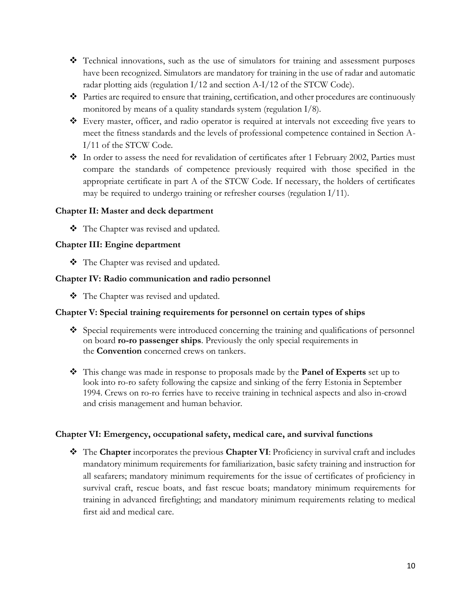- ❖ Technical innovations, such as the use of simulators for training and assessment purposes have been recognized. Simulators are mandatory for training in the use of radar and automatic radar plotting aids (regulation I/12 and section A-I/12 of the STCW Code).
- ❖ Parties are required to ensure that training, certification, and other procedures are continuously monitored by means of a quality standards system (regulation I/8).
- ❖ Every master, officer, and radio operator is required at intervals not exceeding five years to meet the fitness standards and the levels of professional competence contained in Section A-I/11 of the STCW Code.
- ❖ In order to assess the need for revalidation of certificates after 1 February 2002, Parties must compare the standards of competence previously required with those specified in the appropriate certificate in part A of the STCW Code. If necessary, the holders of certificates may be required to undergo training or refresher courses (regulation I/11).

## **Chapter II: Master and deck department**

❖ The Chapter was revised and updated.

## **Chapter III: Engine department**

❖ The Chapter was revised and updated.

### **Chapter IV: Radio communication and radio personnel**

❖ The Chapter was revised and updated.

### **Chapter V: Special training requirements for personnel on certain types of ships**

- ❖ Special requirements were introduced concerning the training and qualifications of personnel on board **ro-ro passenger ships**. Previously the only special requirements in the **Convention** concerned crews on tankers.
- ❖ This change was made in response to proposals made by the **Panel of Experts** set up to look into ro-ro safety following the capsize and sinking of the ferry Estonia in September 1994. Crews on ro-ro ferries have to receive training in technical aspects and also in-crowd and crisis management and human behavior.

### **Chapter VI: Emergency, occupational safety, medical care, and survival functions**

❖ The **Chapter** incorporates the previous **Chapter VI**: Proficiency in survival craft and includes mandatory minimum requirements for familiarization, basic safety training and instruction for all seafarers; mandatory minimum requirements for the issue of certificates of proficiency in survival craft, rescue boats, and fast rescue boats; mandatory minimum requirements for training in advanced firefighting; and mandatory minimum requirements relating to medical first aid and medical care.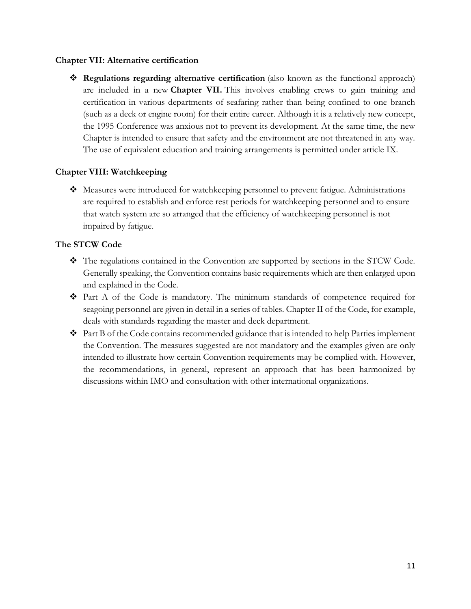#### **Chapter VII: Alternative certification**

❖ **Regulations regarding alternative certification** (also known as the functional approach) are included in a new **Chapter VII.** This involves enabling crews to gain training and certification in various departments of seafaring rather than being confined to one branch (such as a deck or engine room) for their entire career. Although it is a relatively new concept, the 1995 Conference was anxious not to prevent its development. At the same time, the new Chapter is intended to ensure that safety and the environment are not threatened in any way. The use of equivalent education and training arrangements is permitted under article IX.

## **Chapter VIII: Watchkeeping**

❖ Measures were introduced for watchkeeping personnel to prevent fatigue. Administrations are required to establish and enforce rest periods for watchkeeping personnel and to ensure that watch system are so arranged that the efficiency of watchkeeping personnel is not impaired by fatigue.

## **The STCW Code**

- ❖ The regulations contained in the Convention are supported by sections in the STCW Code. Generally speaking, the Convention contains basic requirements which are then enlarged upon and explained in the Code.
- ❖ Part A of the Code is mandatory. The minimum standards of competence required for seagoing personnel are given in detail in a series of tables. Chapter II of the Code, for example, deals with standards regarding the master and deck department.
- ❖ Part B of the Code contains recommended guidance that is intended to help Parties implement the Convention. The measures suggested are not mandatory and the examples given are only intended to illustrate how certain Convention requirements may be complied with. However, the recommendations, in general, represent an approach that has been harmonized by discussions within IMO and consultation with other international organizations.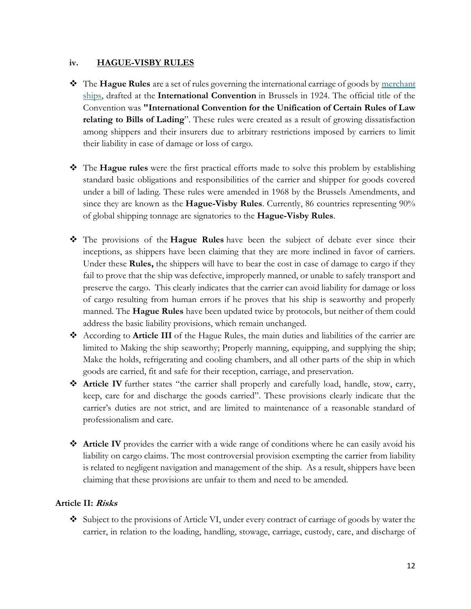### **iv. HAGUE-VISBY RULES**

- ❖ The **Hague Rules** are a set of rules governing the international carriage of goods by [merchant](http://maritime-connector.com/wiki/merchant-vessels/) [ships,](http://maritime-connector.com/wiki/merchant-vessels/) drafted at the **International Convention** in Brussels in 1924. The official title of the Convention was **"International Convention for the Unification of Certain Rules of Law relating to Bills of Lading**". These rules were created as a result of growing dissatisfaction among shippers and their insurers due to arbitrary restrictions imposed by carriers to limit their liability in case of damage or loss of cargo.
- ❖ The **Hague rules** were the first practical efforts made to solve this problem by establishing standard basic obligations and responsibilities of the carrier and shipper for goods covered under a bill of lading. These rules were amended in 1968 by the Brussels Amendments, and since they are known as the **Hague-Visby Rules**. Currently, 86 countries representing 90% of global shipping tonnage are signatories to the **Hague-Visby Rules**.
- ❖ The provisions of the **Hague Rules** have been the subject of debate ever since their inceptions, as shippers have been claiming that they are more inclined in favor of carriers. Under these **Rules,** the shippers will have to bear the cost in case of damage to cargo if they fail to prove that the ship was defective, improperly manned, or unable to safely transport and preserve the cargo. This clearly indicates that the carrier can avoid liability for damage or loss of cargo resulting from human errors if he proves that his ship is seaworthy and properly manned. The **Hague Rules** have been updated twice by protocols, but neither of them could address the basic liability provisions, which remain unchanged.
- ❖ According to **Article III** of the Hague Rules, the main duties and liabilities of the carrier are limited to Making the ship seaworthy; Properly manning, equipping, and supplying the ship; Make the holds, refrigerating and cooling chambers, and all other parts of the ship in which goods are carried, fit and safe for their reception, carriage, and preservation.
- ❖ **Article IV** further states "the carrier shall properly and carefully load, handle, stow, carry, keep, care for and discharge the goods carried". These provisions clearly indicate that the carrier's duties are not strict, and are limited to maintenance of a reasonable standard of professionalism and care.
- ❖ **Article IV** provides the carrier with a wide range of conditions where he can easily avoid his liability on cargo claims. The most controversial provision exempting the carrier from liability is related to negligent navigation and management of the ship. As a result, shippers have been claiming that these provisions are unfair to them and need to be amended.

### **Article II: Risks**

❖ Subject to the provisions of Article VI, under every contract of carriage of goods by water the carrier, in relation to the loading, handling, stowage, carriage, custody, care, and discharge of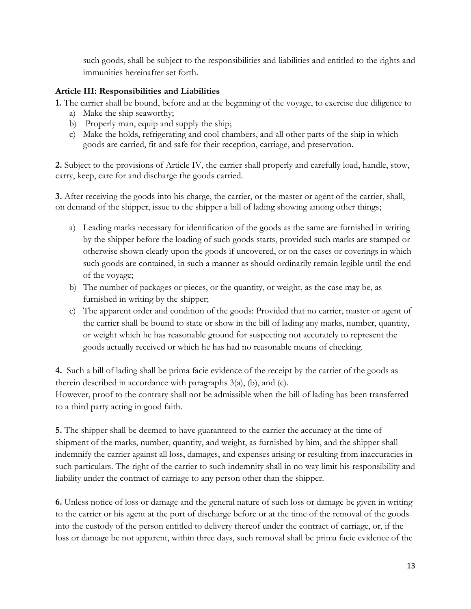such goods, shall be subject to the responsibilities and liabilities and entitled to the rights and immunities hereinafter set forth.

## **Article III: Responsibilities and Liabilities**

**1.** The carrier shall be bound, before and at the beginning of the voyage, to exercise due diligence to

- a) Make the ship seaworthy;
- b) Properly man, equip and supply the ship;
- c) Make the holds, refrigerating and cool chambers, and all other parts of the ship in which goods are carried, fit and safe for their reception, carriage, and preservation.

**2.** Subject to the provisions of Article IV, the carrier shall properly and carefully load, handle, stow, carry, keep, care for and discharge the goods carried.

**3.** After receiving the goods into his charge, the carrier, or the master or agent of the carrier, shall, on demand of the shipper, issue to the shipper a bill of lading showing among other things;

- a) Leading marks necessary for identification of the goods as the same are furnished in writing by the shipper before the loading of such goods starts, provided such marks are stamped or otherwise shown clearly upon the goods if uncovered, or on the cases or coverings in which such goods are contained, in such a manner as should ordinarily remain legible until the end of the voyage;
- b) The number of packages or pieces, or the quantity, or weight, as the case may be, as furnished in writing by the shipper;
- c) The apparent order and condition of the goods: Provided that no carrier, master or agent of the carrier shall be bound to state or show in the bill of lading any marks, number, quantity, or weight which he has reasonable ground for suspecting not accurately to represent the goods actually received or which he has had no reasonable means of checking.

**4.** Such a bill of lading shall be prima facie evidence of the receipt by the carrier of the goods as therein described in accordance with paragraphs 3(a), (b), and (c).

However, proof to the contrary shall not be admissible when the bill of lading has been transferred to a third party acting in good faith.

**5.** The shipper shall be deemed to have guaranteed to the carrier the accuracy at the time of shipment of the marks, number, quantity, and weight, as furnished by him, and the shipper shall indemnify the carrier against all loss, damages, and expenses arising or resulting from inaccuracies in such particulars. The right of the carrier to such indemnity shall in no way limit his responsibility and liability under the contract of carriage to any person other than the shipper.

**6.** Unless notice of loss or damage and the general nature of such loss or damage be given in writing to the carrier or his agent at the port of discharge before or at the time of the removal of the goods into the custody of the person entitled to delivery thereof under the contract of carriage, or, if the loss or damage be not apparent, within three days, such removal shall be prima facie evidence of the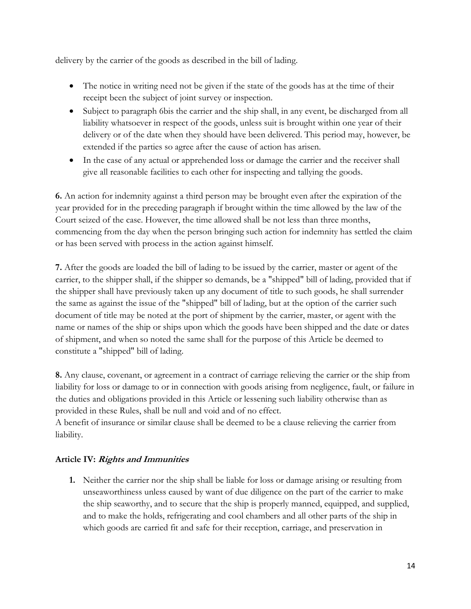delivery by the carrier of the goods as described in the bill of lading.

- The notice in writing need not be given if the state of the goods has at the time of their receipt been the subject of joint survey or inspection.
- Subject to paragraph 6 bis the carrier and the ship shall, in any event, be discharged from all liability whatsoever in respect of the goods, unless suit is brought within one year of their delivery or of the date when they should have been delivered. This period may, however, be extended if the parties so agree after the cause of action has arisen.
- In the case of any actual or apprehended loss or damage the carrier and the receiver shall give all reasonable facilities to each other for inspecting and tallying the goods.

**6.** An action for indemnity against a third person may be brought even after the expiration of the year provided for in the preceding paragraph if brought within the time allowed by the law of the Court seized of the case. However, the time allowed shall be not less than three months, commencing from the day when the person bringing such action for indemnity has settled the claim or has been served with process in the action against himself.

**7.** After the goods are loaded the bill of lading to be issued by the carrier, master or agent of the carrier, to the shipper shall, if the shipper so demands, be a "shipped" bill of lading, provided that if the shipper shall have previously taken up any document of title to such goods, he shall surrender the same as against the issue of the "shipped" bill of lading, but at the option of the carrier such document of title may be noted at the port of shipment by the carrier, master, or agent with the name or names of the ship or ships upon which the goods have been shipped and the date or dates of shipment, and when so noted the same shall for the purpose of this Article be deemed to constitute a "shipped" bill of lading.

**8.** Any clause, covenant, or agreement in a contract of carriage relieving the carrier or the ship from liability for loss or damage to or in connection with goods arising from negligence, fault, or failure in the duties and obligations provided in this Article or lessening such liability otherwise than as provided in these Rules, shall be null and void and of no effect.

A benefit of insurance or similar clause shall be deemed to be a clause relieving the carrier from liability.

## **Article IV: Rights and Immunities**

**1.** Neither the carrier nor the ship shall be liable for loss or damage arising or resulting from unseaworthiness unless caused by want of due diligence on the part of the carrier to make the ship seaworthy, and to secure that the ship is properly manned, equipped, and supplied, and to make the holds, refrigerating and cool chambers and all other parts of the ship in which goods are carried fit and safe for their reception, carriage, and preservation in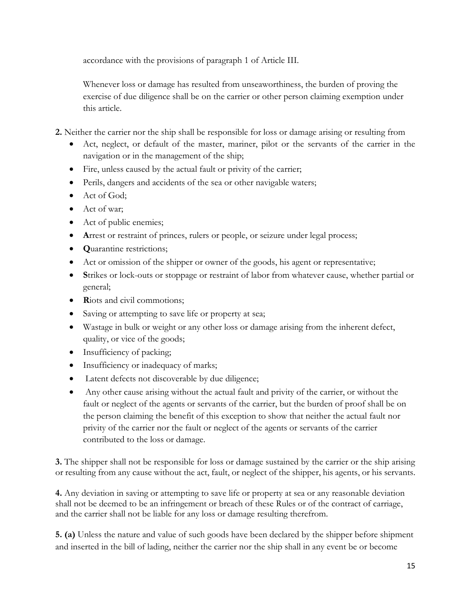accordance with the provisions of paragraph 1 of Article III.

Whenever loss or damage has resulted from unseaworthiness, the burden of proving the exercise of due diligence shall be on the carrier or other person claiming exemption under this article.

**2.** Neither the carrier nor the ship shall be responsible for loss or damage arising or resulting from

- Act, neglect, or default of the master, mariner, pilot or the servants of the carrier in the navigation or in the management of the ship;
- Fire, unless caused by the actual fault or privity of the carrier;
- Perils, dangers and accidents of the sea or other navigable waters;
- Act of God:
- Act of war:
- Act of public enemies;
- Arrest or restraint of princes, rulers or people, or seizure under legal process;
- **Q**uarantine restrictions;
- Act or omission of the shipper or owner of the goods, his agent or representative;
- **S**trikes or lock-outs or stoppage or restraint of labor from whatever cause, whether partial or general;
- **R**iots and civil commotions;
- Saving or attempting to save life or property at sea;
- Wastage in bulk or weight or any other loss or damage arising from the inherent defect, quality, or vice of the goods;
- Insufficiency of packing;
- Insufficiency or inadequacy of marks;
- Latent defects not discoverable by due diligence;
- Any other cause arising without the actual fault and privity of the carrier, or without the fault or neglect of the agents or servants of the carrier, but the burden of proof shall be on the person claiming the benefit of this exception to show that neither the actual fault nor privity of the carrier nor the fault or neglect of the agents or servants of the carrier contributed to the loss or damage.

**3.** The shipper shall not be responsible for loss or damage sustained by the carrier or the ship arising or resulting from any cause without the act, fault, or neglect of the shipper, his agents, or his servants.

**4.** Any deviation in saving or attempting to save life or property at sea or any reasonable deviation shall not be deemed to be an infringement or breach of these Rules or of the contract of carriage, and the carrier shall not be liable for any loss or damage resulting therefrom.

**5. (a)** Unless the nature and value of such goods have been declared by the shipper before shipment and inserted in the bill of lading, neither the carrier nor the ship shall in any event be or become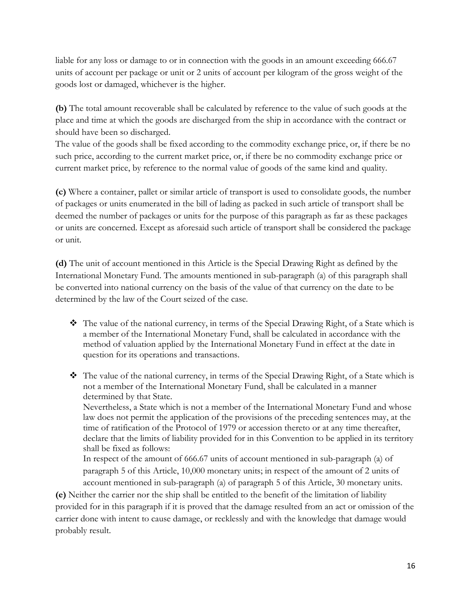liable for any loss or damage to or in connection with the goods in an amount exceeding 666.67 units of account per package or unit or 2 units of account per kilogram of the gross weight of the goods lost or damaged, whichever is the higher.

**(b)** The total amount recoverable shall be calculated by reference to the value of such goods at the place and time at which the goods are discharged from the ship in accordance with the contract or should have been so discharged.

The value of the goods shall be fixed according to the commodity exchange price, or, if there be no such price, according to the current market price, or, if there be no commodity exchange price or current market price, by reference to the normal value of goods of the same kind and quality.

**(c)** Where a container, pallet or similar article of transport is used to consolidate goods, the number of packages or units enumerated in the bill of lading as packed in such article of transport shall be deemed the number of packages or units for the purpose of this paragraph as far as these packages or units are concerned. Except as aforesaid such article of transport shall be considered the package or unit.

**(d)** The unit of account mentioned in this Article is the Special Drawing Right as defined by the International Monetary Fund. The amounts mentioned in sub-paragraph (a) of this paragraph shall be converted into national currency on the basis of the value of that currency on the date to be determined by the law of the Court seized of the case.

- ❖ The value of the national currency, in terms of the Special Drawing Right, of a State which is a member of the International Monetary Fund, shall be calculated in accordance with the method of valuation applied by the International Monetary Fund in effect at the date in question for its operations and transactions.
- ❖ The value of the national currency, in terms of the Special Drawing Right, of a State which is not a member of the International Monetary Fund, shall be calculated in a manner determined by that State.

Nevertheless, a State which is not a member of the International Monetary Fund and whose law does not permit the application of the provisions of the preceding sentences may, at the time of ratification of the Protocol of 1979 or accession thereto or at any time thereafter, declare that the limits of liability provided for in this Convention to be applied in its territory shall be fixed as follows:

In respect of the amount of 666.67 units of account mentioned in sub-paragraph (a) of paragraph 5 of this Article, 10,000 monetary units; in respect of the amount of 2 units of account mentioned in sub-paragraph (a) of paragraph 5 of this Article, 30 monetary units.

**(e)** Neither the carrier nor the ship shall be entitled to the benefit of the limitation of liability provided for in this paragraph if it is proved that the damage resulted from an act or omission of the carrier done with intent to cause damage, or recklessly and with the knowledge that damage would probably result.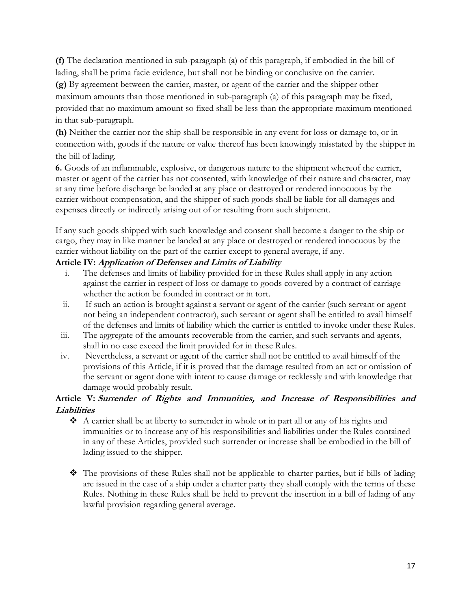**(f)** The declaration mentioned in sub-paragraph (a) of this paragraph, if embodied in the bill of lading, shall be prima facie evidence, but shall not be binding or conclusive on the carrier.

**(g)** By agreement between the carrier, master, or agent of the carrier and the shipper other maximum amounts than those mentioned in sub-paragraph (a) of this paragraph may be fixed, provided that no maximum amount so fixed shall be less than the appropriate maximum mentioned in that sub-paragraph.

**(h)** Neither the carrier nor the ship shall be responsible in any event for loss or damage to, or in connection with, goods if the nature or value thereof has been knowingly misstated by the shipper in the bill of lading.

**6.** Goods of an inflammable, explosive, or dangerous nature to the shipment whereof the carrier, master or agent of the carrier has not consented, with knowledge of their nature and character, may at any time before discharge be landed at any place or destroyed or rendered innocuous by the carrier without compensation, and the shipper of such goods shall be liable for all damages and expenses directly or indirectly arising out of or resulting from such shipment.

If any such goods shipped with such knowledge and consent shall become a danger to the ship or cargo, they may in like manner be landed at any place or destroyed or rendered innocuous by the carrier without liability on the part of the carrier except to general average, if any.

## **Article IV: Application of Defenses and Limits of Liability**

- i. The defenses and limits of liability provided for in these Rules shall apply in any action against the carrier in respect of loss or damage to goods covered by a contract of carriage whether the action be founded in contract or in tort.
- ii. If such an action is brought against a servant or agent of the carrier (such servant or agent not being an independent contractor), such servant or agent shall be entitled to avail himself of the defenses and limits of liability which the carrier is entitled to invoke under these Rules.
- iii. The aggregate of the amounts recoverable from the carrier, and such servants and agents, shall in no case exceed the limit provided for in these Rules.
- iv. Nevertheless, a servant or agent of the carrier shall not be entitled to avail himself of the provisions of this Article, if it is proved that the damage resulted from an act or omission of the servant or agent done with intent to cause damage or recklessly and with knowledge that damage would probably result.

## **Article V: Surrender of Rights and Immunities, and Increase of Responsibilities and Liabilities**

- $\triangle$  A carrier shall be at liberty to surrender in whole or in part all or any of his rights and immunities or to increase any of his responsibilities and liabilities under the Rules contained in any of these Articles, provided such surrender or increase shall be embodied in the bill of lading issued to the shipper.
- ❖ The provisions of these Rules shall not be applicable to charter parties, but if bills of lading are issued in the case of a ship under a charter party they shall comply with the terms of these Rules. Nothing in these Rules shall be held to prevent the insertion in a bill of lading of any lawful provision regarding general average.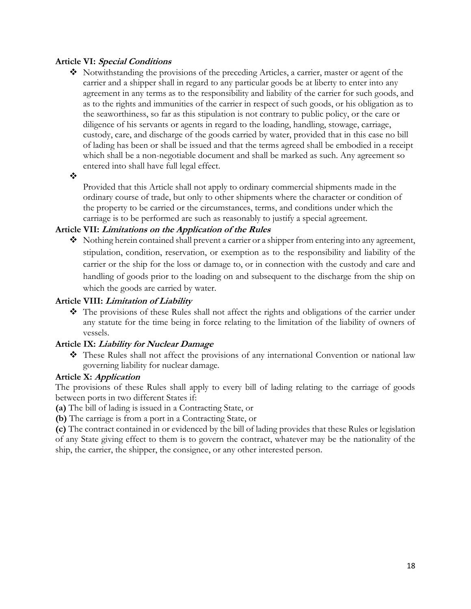## **Article VI: Special Conditions**

❖ Notwithstanding the provisions of the preceding Articles, a carrier, master or agent of the carrier and a shipper shall in regard to any particular goods be at liberty to enter into any agreement in any terms as to the responsibility and liability of the carrier for such goods, and as to the rights and immunities of the carrier in respect of such goods, or his obligation as to the seaworthiness, so far as this stipulation is not contrary to public policy, or the care or diligence of his servants or agents in regard to the loading, handling, stowage, carriage, custody, care, and discharge of the goods carried by water, provided that in this case no bill of lading has been or shall be issued and that the terms agreed shall be embodied in a receipt which shall be a non-negotiable document and shall be marked as such. Any agreement so entered into shall have full legal effect.

❖

Provided that this Article shall not apply to ordinary commercial shipments made in the ordinary course of trade, but only to other shipments where the character or condition of the property to be carried or the circumstances, terms, and conditions under which the carriage is to be performed are such as reasonably to justify a special agreement.

## **Article VII: Limitations on the Application of the Rules**

❖ Nothing herein contained shall prevent a carrier or a shipper from entering into any agreement, stipulation, condition, reservation, or exemption as to the responsibility and liability of the carrier or the ship for the loss or damage to, or in connection with the custody and care and handling of goods prior to the loading on and subsequent to the discharge from the ship on which the goods are carried by water.

## **Article VIII: Limitation of Liability**

❖ The provisions of these Rules shall not affect the rights and obligations of the carrier under any statute for the time being in force relating to the limitation of the liability of owners of vessels.

## **Article IX: Liability for Nuclear Damage**

❖ These Rules shall not affect the provisions of any international Convention or national law governing liability for nuclear damage.

## **Article X: Application**

The provisions of these Rules shall apply to every bill of lading relating to the carriage of goods between ports in two different States if:

**(a)** The bill of lading is issued in a Contracting State, or

**(b)** The carriage is from a port in a Contracting State, or

**(c)** The contract contained in or evidenced by the bill of lading provides that these Rules or legislation of any State giving effect to them is to govern the contract, whatever may be the nationality of the ship, the carrier, the shipper, the consignee, or any other interested person.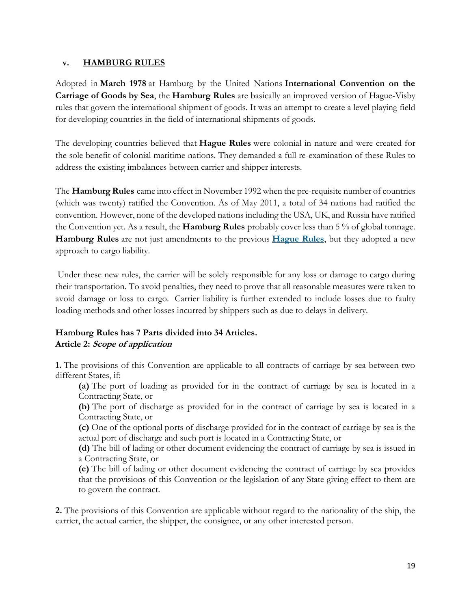### **v. HAMBURG RULES**

Adopted in **March 1978** at Hamburg by the United Nations **International Convention on the Carriage of Goods by Sea**, the **Hamburg Rules** are basically an improved version of Hague-Visby rules that govern the international shipment of goods. It was an attempt to create a level playing field for developing countries in the field of international shipments of goods.

The developing countries believed that **Hague Rules** were colonial in nature and were created for the sole benefit of colonial maritime nations. They demanded a full re-examination of these Rules to address the existing imbalances between carrier and shipper interests.

The **Hamburg Rules** came into effect in November 1992 when the pre-requisite number of countries (which was twenty) ratified the Convention. As of May 2011, a total of 34 nations had ratified the convention. However, none of the developed nations including the USA, UK, and Russia have ratified the Convention yet. As a result, the **Hamburg Rules** probably cover less than 5 % of global tonnage. **Hamburg Rules** are not just amendments to the previous **[Hague](http://maritime-connector.com/wiki/hague-rules/) Rules**, but they adopted a new approach to cargo liability.

Under these new rules, the carrier will be solely responsible for any loss or damage to cargo during their transportation. To avoid penalties, they need to prove that all reasonable measures were taken to avoid damage or loss to cargo. Carrier liability is further extended to include losses due to faulty loading methods and other losses incurred by shippers such as due to delays in delivery.

## **Hamburg Rules has 7 Parts divided into 34 Articles. Article 2: Scope of application**

**1.** The provisions of this Convention are applicable to all contracts of carriage by sea between two different States, if:

**(a)** The port of loading as provided for in the contract of carriage by sea is located in a Contracting State, or

**(b)** The port of discharge as provided for in the contract of carriage by sea is located in a Contracting State, or

**(c)** One of the optional ports of discharge provided for in the contract of carriage by sea is the actual port of discharge and such port is located in a Contracting State, or

**(d)** The bill of lading or other document evidencing the contract of carriage by sea is issued in a Contracting State, or

**(e)** The bill of lading or other document evidencing the contract of carriage by sea provides that the provisions of this Convention or the legislation of any State giving effect to them are to govern the contract.

**2.** The provisions of this Convention are applicable without regard to the nationality of the ship, the carrier, the actual carrier, the shipper, the consignee, or any other interested person.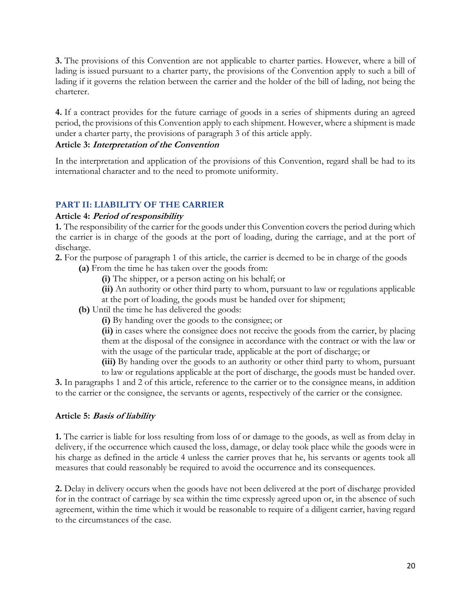**3.** The provisions of this Convention are not applicable to charter parties. However, where a bill of lading is issued pursuant to a charter party, the provisions of the Convention apply to such a bill of lading if it governs the relation between the carrier and the holder of the bill of lading, not being the charterer.

**4.** If a contract provides for the future carriage of goods in a series of shipments during an agreed period, the provisions of this Convention apply to each shipment. However, where a shipment is made under a charter party, the provisions of paragraph 3 of this article apply.

## **Article 3: Interpretation of the Convention**

In the interpretation and application of the provisions of this Convention, regard shall be had to its international character and to the need to promote uniformity.

## **PART II: LIABILITY OF THE CARRIER**

## **Article 4: Period of responsibility**

**1.** The responsibility of the carrier for the goods under this Convention covers the period during which the carrier is in charge of the goods at the port of loading, during the carriage, and at the port of discharge.

**2.** For the purpose of paragraph 1 of this article, the carrier is deemed to be in charge of the goods

**(a)** From the time he has taken over the goods from:

**(i)** The shipper, or a person acting on his behalf; or

**(ii)** An authority or other third party to whom, pursuant to law or regulations applicable at the port of loading, the goods must be handed over for shipment;

**(b)** Until the time he has delivered the goods:

**(i)** By handing over the goods to the consignee; or

**(ii)** in cases where the consignee does not receive the goods from the carrier, by placing them at the disposal of the consignee in accordance with the contract or with the law or with the usage of the particular trade, applicable at the port of discharge; or

**(iii)** By handing over the goods to an authority or other third party to whom, pursuant to law or regulations applicable at the port of discharge, the goods must be handed over.

**3.** In paragraphs 1 and 2 of this article, reference to the carrier or to the consignee means, in addition to the carrier or the consignee, the servants or agents, respectively of the carrier or the consignee.

### **Article 5: Basis of liability**

**1.** The carrier is liable for loss resulting from loss of or damage to the goods, as well as from delay in delivery, if the occurrence which caused the loss, damage, or delay took place while the goods were in his charge as defined in the article 4 unless the carrier proves that he, his servants or agents took all measures that could reasonably be required to avoid the occurrence and its consequences.

**2.** Delay in delivery occurs when the goods have not been delivered at the port of discharge provided for in the contract of carriage by sea within the time expressly agreed upon or, in the absence of such agreement, within the time which it would be reasonable to require of a diligent carrier, having regard to the circumstances of the case.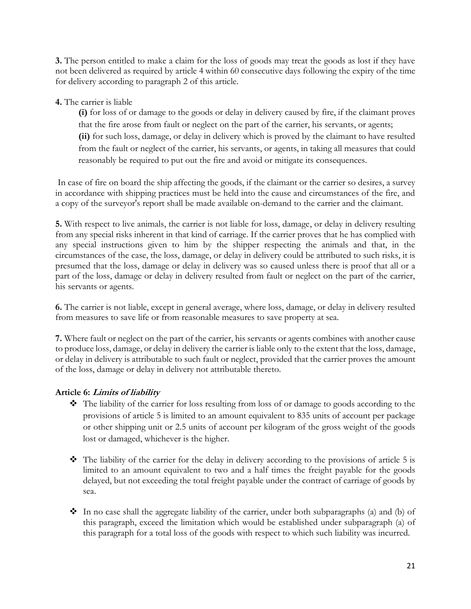**3.** The person entitled to make a claim for the loss of goods may treat the goods as lost if they have not been delivered as required by article 4 within 60 consecutive days following the expiry of the time for delivery according to paragraph 2 of this article.

## **4.** The carrier is liable

**(i)** for loss of or damage to the goods or delay in delivery caused by fire, if the claimant proves that the fire arose from fault or neglect on the part of the carrier, his servants, or agents; **(ii)** for such loss, damage, or delay in delivery which is proved by the claimant to have resulted from the fault or neglect of the carrier, his servants, or agents, in taking all measures that could reasonably be required to put out the fire and avoid or mitigate its consequences.

In case of fire on board the ship affecting the goods, if the claimant or the carrier so desires, a survey in accordance with shipping practices must be held into the cause and circumstances of the fire, and a copy of the surveyor's report shall be made available on-demand to the carrier and the claimant.

**5.** With respect to live animals, the carrier is not liable for loss, damage, or delay in delivery resulting from any special risks inherent in that kind of carriage. If the carrier proves that he has complied with any special instructions given to him by the shipper respecting the animals and that, in the circumstances of the case, the loss, damage, or delay in delivery could be attributed to such risks, it is presumed that the loss, damage or delay in delivery was so caused unless there is proof that all or a part of the loss, damage or delay in delivery resulted from fault or neglect on the part of the carrier, his servants or agents.

**6.** The carrier is not liable, except in general average, where loss, damage, or delay in delivery resulted from measures to save life or from reasonable measures to save property at sea.

**7.** Where fault or neglect on the part of the carrier, his servants or agents combines with another cause to produce loss, damage, or delay in delivery the carrier is liable only to the extent that the loss, damage, or delay in delivery is attributable to such fault or neglect, provided that the carrier proves the amount of the loss, damage or delay in delivery not attributable thereto.

## **Article 6: Limits of liability**

- ❖ The liability of the carrier for loss resulting from loss of or damage to goods according to the provisions of article 5 is limited to an amount equivalent to 835 units of account per package or other shipping unit or 2.5 units of account per kilogram of the gross weight of the goods lost or damaged, whichever is the higher.
- $\bullet$  The liability of the carrier for the delay in delivery according to the provisions of article 5 is limited to an amount equivalent to two and a half times the freight payable for the goods delayed, but not exceeding the total freight payable under the contract of carriage of goods by sea.
- ❖ In no case shall the aggregate liability of the carrier, under both subparagraphs (a) and (b) of this paragraph, exceed the limitation which would be established under subparagraph (a) of this paragraph for a total loss of the goods with respect to which such liability was incurred.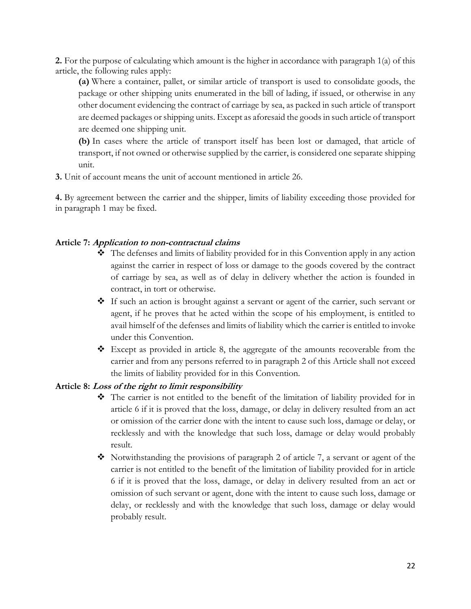**2.** For the purpose of calculating which amount is the higher in accordance with paragraph 1(a) of this article, the following rules apply:

**(a)** Where a container, pallet, or similar article of transport is used to consolidate goods, the package or other shipping units enumerated in the bill of lading, if issued, or otherwise in any other document evidencing the contract of carriage by sea, as packed in such article of transport are deemed packages or shipping units. Except as aforesaid the goods in such article of transport are deemed one shipping unit.

**(b)** In cases where the article of transport itself has been lost or damaged, that article of transport, if not owned or otherwise supplied by the carrier, is considered one separate shipping unit.

**3.** Unit of account means the unit of account mentioned in article 26.

**4.** By agreement between the carrier and the shipper, limits of liability exceeding those provided for in paragraph 1 may be fixed.

#### **Article 7: Application to non-contractual claims**

- ❖ The defenses and limits of liability provided for in this Convention apply in any action against the carrier in respect of loss or damage to the goods covered by the contract of carriage by sea, as well as of delay in delivery whether the action is founded in contract, in tort or otherwise.
- ❖ If such an action is brought against a servant or agent of the carrier, such servant or agent, if he proves that he acted within the scope of his employment, is entitled to avail himself of the defenses and limits of liability which the carrier is entitled to invoke under this Convention.
- ❖ Except as provided in article 8, the aggregate of the amounts recoverable from the carrier and from any persons referred to in paragraph 2 of this Article shall not exceed the limits of liability provided for in this Convention.

### **Article 8: Loss of the right to limit responsibility**

- ❖ The carrier is not entitled to the benefit of the limitation of liability provided for in article 6 if it is proved that the loss, damage, or delay in delivery resulted from an act or omission of the carrier done with the intent to cause such loss, damage or delay, or recklessly and with the knowledge that such loss, damage or delay would probably result.
- $\bullet$  Notwithstanding the provisions of paragraph 2 of article 7, a servant or agent of the carrier is not entitled to the benefit of the limitation of liability provided for in article 6 if it is proved that the loss, damage, or delay in delivery resulted from an act or omission of such servant or agent, done with the intent to cause such loss, damage or delay, or recklessly and with the knowledge that such loss, damage or delay would probably result.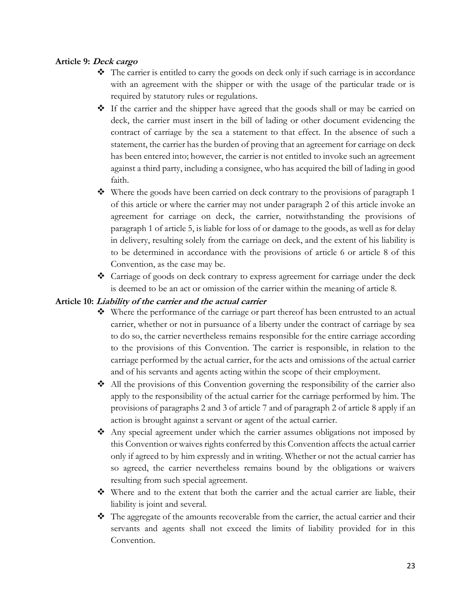### **Article 9: Deck cargo**

- $\bullet$  The carrier is entitled to carry the goods on deck only if such carriage is in accordance with an agreement with the shipper or with the usage of the particular trade or is required by statutory rules or regulations.
- ❖ If the carrier and the shipper have agreed that the goods shall or may be carried on deck, the carrier must insert in the bill of lading or other document evidencing the contract of carriage by the sea a statement to that effect. In the absence of such a statement, the carrier has the burden of proving that an agreement for carriage on deck has been entered into; however, the carrier is not entitled to invoke such an agreement against a third party, including a consignee, who has acquired the bill of lading in good faith.
- ❖ Where the goods have been carried on deck contrary to the provisions of paragraph 1 of this article or where the carrier may not under paragraph 2 of this article invoke an agreement for carriage on deck, the carrier, notwithstanding the provisions of paragraph 1 of article 5, is liable for loss of or damage to the goods, as well as for delay in delivery, resulting solely from the carriage on deck, and the extent of his liability is to be determined in accordance with the provisions of article 6 or article 8 of this Convention, as the case may be.
- ❖ Carriage of goods on deck contrary to express agreement for carriage under the deck is deemed to be an act or omission of the carrier within the meaning of article 8.

#### **Article 10: Liability of the carrier and the actual carrier**

- ❖ Where the performance of the carriage or part thereof has been entrusted to an actual carrier, whether or not in pursuance of a liberty under the contract of carriage by sea to do so, the carrier nevertheless remains responsible for the entire carriage according to the provisions of this Convention. The carrier is responsible, in relation to the carriage performed by the actual carrier, for the acts and omissions of the actual carrier and of his servants and agents acting within the scope of their employment.
- ❖ All the provisions of this Convention governing the responsibility of the carrier also apply to the responsibility of the actual carrier for the carriage performed by him. The provisions of paragraphs 2 and 3 of article 7 and of paragraph 2 of article 8 apply if an action is brought against a servant or agent of the actual carrier.
- ❖ Any special agreement under which the carrier assumes obligations not imposed by this Convention or waives rights conferred by this Convention affects the actual carrier only if agreed to by him expressly and in writing. Whether or not the actual carrier has so agreed, the carrier nevertheless remains bound by the obligations or waivers resulting from such special agreement.
- ❖ Where and to the extent that both the carrier and the actual carrier are liable, their liability is joint and several.
- ❖ The aggregate of the amounts recoverable from the carrier, the actual carrier and their servants and agents shall not exceed the limits of liability provided for in this Convention.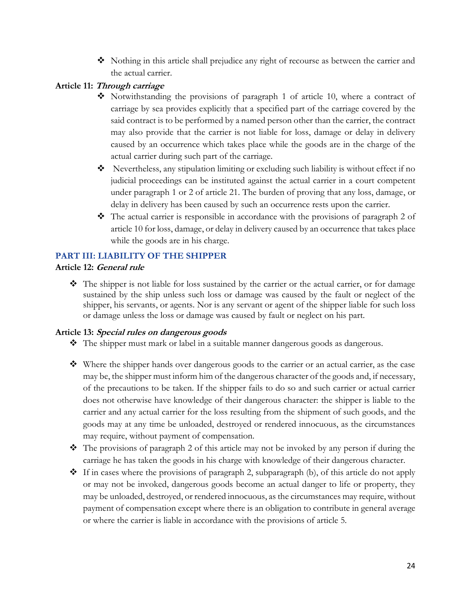❖ Nothing in this article shall prejudice any right of recourse as between the carrier and the actual carrier.

## **Article 11: Through carriage**

- ❖ Notwithstanding the provisions of paragraph 1 of article 10, where a contract of carriage by sea provides explicitly that a specified part of the carriage covered by the said contract is to be performed by a named person other than the carrier, the contract may also provide that the carrier is not liable for loss, damage or delay in delivery caused by an occurrence which takes place while the goods are in the charge of the actual carrier during such part of the carriage.
- ❖ Nevertheless, any stipulation limiting or excluding such liability is without effect if no judicial proceedings can be instituted against the actual carrier in a court competent under paragraph 1 or 2 of article 21. The burden of proving that any loss, damage, or delay in delivery has been caused by such an occurrence rests upon the carrier.
- $\triangle$  The actual carrier is responsible in accordance with the provisions of paragraph 2 of article 10 for loss, damage, or delay in delivery caused by an occurrence that takes place while the goods are in his charge.

## **PART III: LIABILITY OF THE SHIPPER**

## **Article 12: General rule**

❖ The shipper is not liable for loss sustained by the carrier or the actual carrier, or for damage sustained by the ship unless such loss or damage was caused by the fault or neglect of the shipper, his servants, or agents. Nor is any servant or agent of the shipper liable for such loss or damage unless the loss or damage was caused by fault or neglect on his part.

## **Article 13: Special rules on dangerous goods**

- ❖ The shipper must mark or label in a suitable manner dangerous goods as dangerous.
- ❖ Where the shipper hands over dangerous goods to the carrier or an actual carrier, as the case may be, the shipper must inform him of the dangerous character of the goods and, if necessary, of the precautions to be taken. If the shipper fails to do so and such carrier or actual carrier does not otherwise have knowledge of their dangerous character: the shipper is liable to the carrier and any actual carrier for the loss resulting from the shipment of such goods, and the goods may at any time be unloaded, destroyed or rendered innocuous, as the circumstances may require, without payment of compensation.
- ❖ The provisions of paragraph 2 of this article may not be invoked by any person if during the carriage he has taken the goods in his charge with knowledge of their dangerous character.
- ❖ If in cases where the provisions of paragraph 2, subparagraph (b), of this article do not apply or may not be invoked, dangerous goods become an actual danger to life or property, they may be unloaded, destroyed, or rendered innocuous, as the circumstances may require, without payment of compensation except where there is an obligation to contribute in general average or where the carrier is liable in accordance with the provisions of article 5.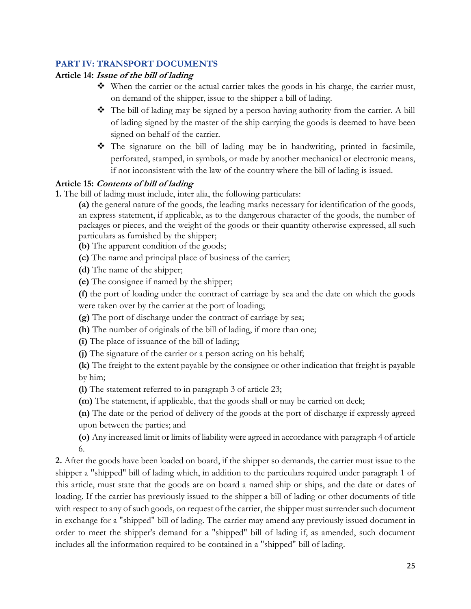## **PART IV: TRANSPORT DOCUMENTS**

#### **Article 14: Issue of the bill of lading**

- ❖ When the carrier or the actual carrier takes the goods in his charge, the carrier must, on demand of the shipper, issue to the shipper a bill of lading.
- ❖ The bill of lading may be signed by a person having authority from the carrier. A bill of lading signed by the master of the ship carrying the goods is deemed to have been signed on behalf of the carrier.
- ❖ The signature on the bill of lading may be in handwriting, printed in facsimile, perforated, stamped, in symbols, or made by another mechanical or electronic means, if not inconsistent with the law of the country where the bill of lading is issued.

#### **Article 15: Contents of bill of lading**

**1.** The bill of lading must include, inter alia, the following particulars:

**(a)** the general nature of the goods, the leading marks necessary for identification of the goods, an express statement, if applicable, as to the dangerous character of the goods, the number of packages or pieces, and the weight of the goods or their quantity otherwise expressed, all such particulars as furnished by the shipper;

**(b)** The apparent condition of the goods;

**(c)** The name and principal place of business of the carrier;

**(d)** The name of the shipper;

**(e)** The consignee if named by the shipper;

**(f)** the port of loading under the contract of carriage by sea and the date on which the goods were taken over by the carrier at the port of loading;

**(g)** The port of discharge under the contract of carriage by sea;

**(h)** The number of originals of the bill of lading, if more than one;

**(i)** The place of issuance of the bill of lading;

**(j)** The signature of the carrier or a person acting on his behalf;

**(k)** The freight to the extent payable by the consignee or other indication that freight is payable by him;

**(l)** The statement referred to in paragraph 3 of article 23;

**(m)** The statement, if applicable, that the goods shall or may be carried on deck;

**(n)** The date or the period of delivery of the goods at the port of discharge if expressly agreed upon between the parties; and

**(o)** Any increased limit or limits of liability were agreed in accordance with paragraph 4 of article 6.

**2.** After the goods have been loaded on board, if the shipper so demands, the carrier must issue to the shipper a "shipped" bill of lading which, in addition to the particulars required under paragraph 1 of this article, must state that the goods are on board a named ship or ships, and the date or dates of loading. If the carrier has previously issued to the shipper a bill of lading or other documents of title with respect to any of such goods, on request of the carrier, the shipper must surrender such document in exchange for a "shipped" bill of lading. The carrier may amend any previously issued document in order to meet the shipper's demand for a "shipped" bill of lading if, as amended, such document includes all the information required to be contained in a "shipped" bill of lading.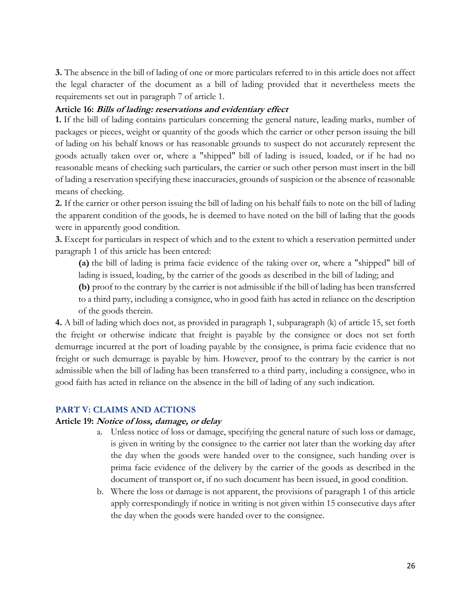**3.** The absence in the bill of lading of one or more particulars referred to in this article does not affect the legal character of the document as a bill of lading provided that it nevertheless meets the requirements set out in paragraph 7 of article 1.

## **Article 16: Bills of lading: reservations and evidentiary effect**

**1.** If the bill of lading contains particulars concerning the general nature, leading marks, number of packages or pieces, weight or quantity of the goods which the carrier or other person issuing the bill of lading on his behalf knows or has reasonable grounds to suspect do not accurately represent the goods actually taken over or, where a "shipped" bill of lading is issued, loaded, or if he had no reasonable means of checking such particulars, the carrier or such other person must insert in the bill of lading a reservation specifying these inaccuracies, grounds of suspicion or the absence of reasonable means of checking.

**2.** If the carrier or other person issuing the bill of lading on his behalf fails to note on the bill of lading the apparent condition of the goods, he is deemed to have noted on the bill of lading that the goods were in apparently good condition.

**3.** Except for particulars in respect of which and to the extent to which a reservation permitted under paragraph 1 of this article has been entered:

**(a)** the bill of lading is prima facie evidence of the taking over or, where a "shipped" bill of lading is issued, loading, by the carrier of the goods as described in the bill of lading; and

**(b)** proof to the contrary by the carrier is not admissible if the bill of lading has been transferred to a third party, including a consignee, who in good faith has acted in reliance on the description of the goods therein.

**4.** A bill of lading which does not, as provided in paragraph 1, subparagraph (k) of article 15, set forth the freight or otherwise indicate that freight is payable by the consignee or does not set forth demurrage incurred at the port of loading payable by the consignee, is prima facie evidence that no freight or such demurrage is payable by him. However, proof to the contrary by the carrier is not admissible when the bill of lading has been transferred to a third party, including a consignee, who in good faith has acted in reliance on the absence in the bill of lading of any such indication.

### **PART V: CLAIMS AND ACTIONS**

### **Article 19: Notice of loss, damage, or delay**

- a. Unless notice of loss or damage, specifying the general nature of such loss or damage, is given in writing by the consignee to the carrier not later than the working day after the day when the goods were handed over to the consignee, such handing over is prima facie evidence of the delivery by the carrier of the goods as described in the document of transport or, if no such document has been issued, in good condition.
- b. Where the loss or damage is not apparent, the provisions of paragraph 1 of this article apply correspondingly if notice in writing is not given within 15 consecutive days after the day when the goods were handed over to the consignee.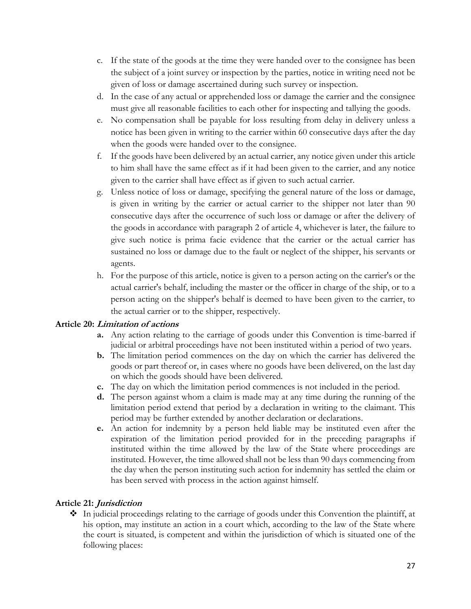- c. If the state of the goods at the time they were handed over to the consignee has been the subject of a joint survey or inspection by the parties, notice in writing need not be given of loss or damage ascertained during such survey or inspection.
- d. In the case of any actual or apprehended loss or damage the carrier and the consignee must give all reasonable facilities to each other for inspecting and tallying the goods.
- e. No compensation shall be payable for loss resulting from delay in delivery unless a notice has been given in writing to the carrier within 60 consecutive days after the day when the goods were handed over to the consignee.
- f. If the goods have been delivered by an actual carrier, any notice given under this article to him shall have the same effect as if it had been given to the carrier, and any notice given to the carrier shall have effect as if given to such actual carrier.
- g. Unless notice of loss or damage, specifying the general nature of the loss or damage, is given in writing by the carrier or actual carrier to the shipper not later than 90 consecutive days after the occurrence of such loss or damage or after the delivery of the goods in accordance with paragraph 2 of article 4, whichever is later, the failure to give such notice is prima facie evidence that the carrier or the actual carrier has sustained no loss or damage due to the fault or neglect of the shipper, his servants or agents.
- h. For the purpose of this article, notice is given to a person acting on the carrier's or the actual carrier's behalf, including the master or the officer in charge of the ship, or to a person acting on the shipper's behalf is deemed to have been given to the carrier, to the actual carrier or to the shipper, respectively.

## **Article 20: Limitation of actions**

- **a.** Any action relating to the carriage of goods under this Convention is time-barred if judicial or arbitral proceedings have not been instituted within a period of two years.
- **b.** The limitation period commences on the day on which the carrier has delivered the goods or part thereof or, in cases where no goods have been delivered, on the last day on which the goods should have been delivered.
- **c.** The day on which the limitation period commences is not included in the period.
- **d.** The person against whom a claim is made may at any time during the running of the limitation period extend that period by a declaration in writing to the claimant. This period may be further extended by another declaration or declarations.
- **e.** An action for indemnity by a person held liable may be instituted even after the expiration of the limitation period provided for in the preceding paragraphs if instituted within the time allowed by the law of the State where proceedings are instituted. However, the time allowed shall not be less than 90 days commencing from the day when the person instituting such action for indemnity has settled the claim or has been served with process in the action against himself.

## **Article 21: Jurisdiction**

 $\bullet$  In judicial proceedings relating to the carriage of goods under this Convention the plaintiff, at his option, may institute an action in a court which, according to the law of the State where the court is situated, is competent and within the jurisdiction of which is situated one of the following places: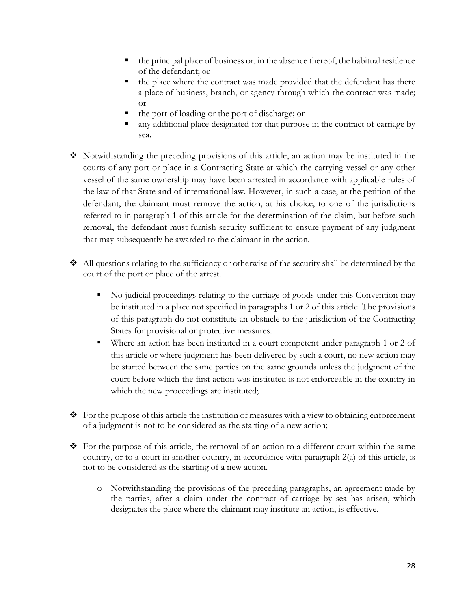- the principal place of business or, in the absence thereof, the habitual residence of the defendant; or
- the place where the contract was made provided that the defendant has there a place of business, branch, or agency through which the contract was made; or
- the port of loading or the port of discharge; or
- any additional place designated for that purpose in the contract of carriage by sea.
- ❖ Notwithstanding the preceding provisions of this article, an action may be instituted in the courts of any port or place in a Contracting State at which the carrying vessel or any other vessel of the same ownership may have been arrested in accordance with applicable rules of the law of that State and of international law. However, in such a case, at the petition of the defendant, the claimant must remove the action, at his choice, to one of the jurisdictions referred to in paragraph 1 of this article for the determination of the claim, but before such removal, the defendant must furnish security sufficient to ensure payment of any judgment that may subsequently be awarded to the claimant in the action.
- ❖ All questions relating to the sufficiency or otherwise of the security shall be determined by the court of the port or place of the arrest.
	- No judicial proceedings relating to the carriage of goods under this Convention may be instituted in a place not specified in paragraphs 1 or 2 of this article. The provisions of this paragraph do not constitute an obstacle to the jurisdiction of the Contracting States for provisional or protective measures.
	- Where an action has been instituted in a court competent under paragraph 1 or 2 of this article or where judgment has been delivered by such a court, no new action may be started between the same parties on the same grounds unless the judgment of the court before which the first action was instituted is not enforceable in the country in which the new proceedings are instituted;
- $\bullet$  For the purpose of this article the institution of measures with a view to obtaining enforcement of a judgment is not to be considered as the starting of a new action;
- $\bullet$  For the purpose of this article, the removal of an action to a different court within the same country, or to a court in another country, in accordance with paragraph 2(a) of this article, is not to be considered as the starting of a new action.
	- o Notwithstanding the provisions of the preceding paragraphs, an agreement made by the parties, after a claim under the contract of carriage by sea has arisen, which designates the place where the claimant may institute an action, is effective.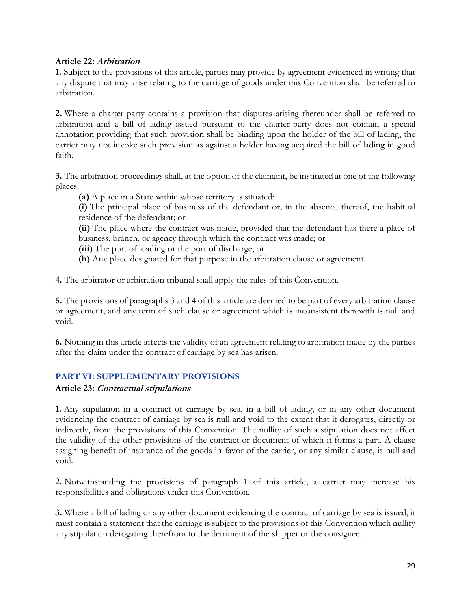## **Article 22: Arbitration**

**1.** Subject to the provisions of this article, parties may provide by agreement evidenced in writing that any dispute that may arise relating to the carriage of goods under this Convention shall be referred to arbitration.

**2.** Where a charter-party contains a provision that disputes arising thereunder shall be referred to arbitration and a bill of lading issued pursuant to the charter-party does not contain a special annotation providing that such provision shall be binding upon the holder of the bill of lading, the carrier may not invoke such provision as against a holder having acquired the bill of lading in good faith.

**3.** The arbitration proceedings shall, at the option of the claimant, be instituted at one of the following places:

**(a)** A place in a State within whose territory is situated:

**(i)** The principal place of business of the defendant or, in the absence thereof, the habitual residence of the defendant; or

**(ii)** The place where the contract was made, provided that the defendant has there a place of business, branch, or agency through which the contract was made; or

**(iii)** The port of loading or the port of discharge; or

**(b)** Any place designated for that purpose in the arbitration clause or agreement.

**4.** The arbitrator or arbitration tribunal shall apply the rules of this Convention.

**5.** The provisions of paragraphs 3 and 4 of this article are deemed to be part of every arbitration clause or agreement, and any term of such clause or agreement which is inconsistent therewith is null and void.

**6.** Nothing in this article affects the validity of an agreement relating to arbitration made by the parties after the claim under the contract of carriage by sea has arisen.

## **PART VI: SUPPLEMENTARY PROVISIONS**

## **Article 23: Contractual stipulations**

**1.** Any stipulation in a contract of carriage by sea, in a bill of lading, or in any other document evidencing the contract of carriage by sea is null and void to the extent that it derogates, directly or indirectly, from the provisions of this Convention. The nullity of such a stipulation does not affect the validity of the other provisions of the contract or document of which it forms a part. A clause assigning benefit of insurance of the goods in favor of the carrier, or any similar clause, is null and void.

**2.** Notwithstanding the provisions of paragraph 1 of this article, a carrier may increase his responsibilities and obligations under this Convention.

**3.** Where a bill of lading or any other document evidencing the contract of carriage by sea is issued, it must contain a statement that the carriage is subject to the provisions of this Convention which nullify any stipulation derogating therefrom to the detriment of the shipper or the consignee.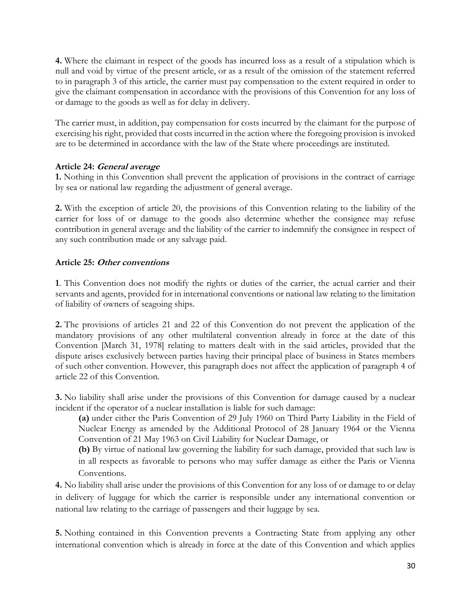**4.** Where the claimant in respect of the goods has incurred loss as a result of a stipulation which is null and void by virtue of the present article, or as a result of the omission of the statement referred to in paragraph 3 of this article, the carrier must pay compensation to the extent required in order to give the claimant compensation in accordance with the provisions of this Convention for any loss of or damage to the goods as well as for delay in delivery.

The carrier must, in addition, pay compensation for costs incurred by the claimant for the purpose of exercising his right, provided that costs incurred in the action where the foregoing provision is invoked are to be determined in accordance with the law of the State where proceedings are instituted.

## **Article 24: General average**

**1.** Nothing in this Convention shall prevent the application of provisions in the contract of carriage by sea or national law regarding the adjustment of general average.

**2.** With the exception of article 20, the provisions of this Convention relating to the liability of the carrier for loss of or damage to the goods also determine whether the consignee may refuse contribution in general average and the liability of the carrier to indemnify the consignee in respect of any such contribution made or any salvage paid.

## **Article 25: Other conventions**

**1**. This Convention does not modify the rights or duties of the carrier, the actual carrier and their servants and agents, provided for in international conventions or national law relating to the limitation of liability of owners of seagoing ships.

**2.** The provisions of articles 21 and 22 of this Convention do not prevent the application of the mandatory provisions of any other multilateral convention already in force at the date of this Convention [March 31, 1978] relating to matters dealt with in the said articles, provided that the dispute arises exclusively between parties having their principal place of business in States members of such other convention. However, this paragraph does not affect the application of paragraph 4 of article 22 of this Convention.

**3.** No liability shall arise under the provisions of this Convention for damage caused by a nuclear incident if the operator of a nuclear installation is liable for such damage:

**(a)** under either the Paris Convention of 29 July 1960 on Third Party Liability in the Field of Nuclear Energy as amended by the Additional Protocol of 28 January 1964 or the Vienna Convention of 21 May 1963 on Civil Liability for Nuclear Damage, or

**(b)** By virtue of national law governing the liability for such damage, provided that such law is in all respects as favorable to persons who may suffer damage as either the Paris or Vienna Conventions.

**4.** No liability shall arise under the provisions of this Convention for any loss of or damage to or delay in delivery of luggage for which the carrier is responsible under any international convention or national law relating to the carriage of passengers and their luggage by sea.

**5.** Nothing contained in this Convention prevents a Contracting State from applying any other international convention which is already in force at the date of this Convention and which applies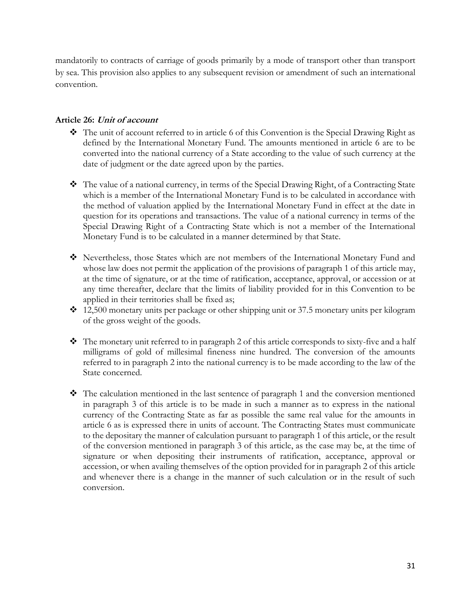mandatorily to contracts of carriage of goods primarily by a mode of transport other than transport by sea. This provision also applies to any subsequent revision or amendment of such an international convention.

## **Article 26: Unit of account**

- ❖ The unit of account referred to in article 6 of this Convention is the Special Drawing Right as defined by the International Monetary Fund. The amounts mentioned in article 6 are to be converted into the national currency of a State according to the value of such currency at the date of judgment or the date agreed upon by the parties.
- ❖ The value of a national currency, in terms of the Special Drawing Right, of a Contracting State which is a member of the International Monetary Fund is to be calculated in accordance with the method of valuation applied by the International Monetary Fund in effect at the date in question for its operations and transactions. The value of a national currency in terms of the Special Drawing Right of a Contracting State which is not a member of the International Monetary Fund is to be calculated in a manner determined by that State.
- ❖ Nevertheless, those States which are not members of the International Monetary Fund and whose law does not permit the application of the provisions of paragraph 1 of this article may, at the time of signature, or at the time of ratification, acceptance, approval, or accession or at any time thereafter, declare that the limits of liability provided for in this Convention to be applied in their territories shall be fixed as;
- $\cdot$  12,500 monetary units per package or other shipping unit or 37.5 monetary units per kilogram of the gross weight of the goods.
- $\bullet$  The monetary unit referred to in paragraph 2 of this article corresponds to sixty-five and a half milligrams of gold of millesimal fineness nine hundred. The conversion of the amounts referred to in paragraph 2 into the national currency is to be made according to the law of the State concerned.
- ❖ The calculation mentioned in the last sentence of paragraph 1 and the conversion mentioned in paragraph 3 of this article is to be made in such a manner as to express in the national currency of the Contracting State as far as possible the same real value for the amounts in article 6 as is expressed there in units of account. The Contracting States must communicate to the depositary the manner of calculation pursuant to paragraph 1 of this article, or the result of the conversion mentioned in paragraph 3 of this article, as the case may be, at the time of signature or when depositing their instruments of ratification, acceptance, approval or accession, or when availing themselves of the option provided for in paragraph 2 of this article and whenever there is a change in the manner of such calculation or in the result of such conversion.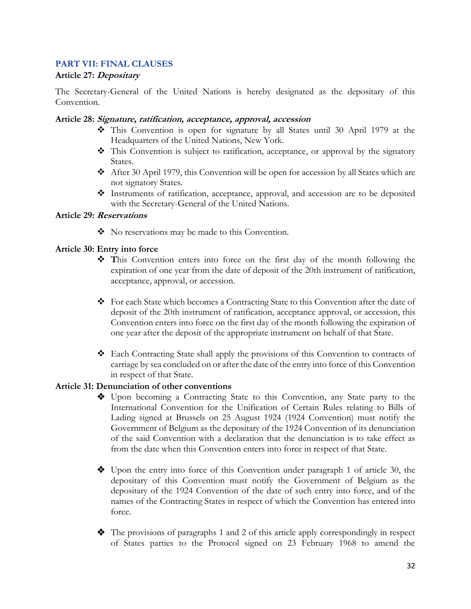## **PART VII: FINAL CLAUSES**

### **Article 27: Depositary**

The Secretary-General of the United Nations is hereby designated as the depositary of this Convention.

#### **Article 28: Signature, ratification, acceptance, approval, accession**

- ❖ This Convention is open for signature by all States until 30 April 1979 at the Headquarters of the United Nations, New York.
- ❖ This Convention is subject to ratification, acceptance, or approval by the signatory States.
- ❖ After 30 April 1979, this Convention will be open for accession by all States which are not signatory States.
- ❖ Instruments of ratification, acceptance, approval, and accession are to be deposited with the Secretary-General of the United Nations.

#### **Article 29: Reservations**

❖ No reservations may be made to this Convention.

### **Article 30: Entry into force**

- ❖ **T**his Convention enters into force on the first day of the month following the expiration of one year from the date of deposit of the 20th instrument of ratification, acceptance, approval, or accession.
- ❖ For each State which becomes a Contracting State to this Convention after the date of deposit of the 20th instrument of ratification, acceptance approval, or accession, this Convention enters into force on the first day of the month following the expiration of one year after the deposit of the appropriate instrument on behalf of that State.
- ❖ Each Contracting State shall apply the provisions of this Convention to contracts of carriage by sea concluded on or after the date of the entry into force of this Convention in respect of that State.

### **Article 31: Denunciation of other conventions**

- ❖ Upon becoming a Contracting State to this Convention, any State party to the International Convention for the Unification of Certain Rules relating to Bills of Lading signed at Brussels on 25 August 1924 (1924 Convention) must notify the Government of Belgium as the depositary of the 1924 Convention of its denunciation of the said Convention with a declaration that the denunciation is to take effect as from the date when this Convention enters into force in respect of that State.
- ❖ Upon the entry into force of this Convention under paragraph 1 of article 30, the depositary of this Convention must notify the Government of Belgium as the depositary of the 1924 Convention of the date of such entry into force, and of the names of the Contracting States in respect of which the Convention has entered into force.
- ❖ The provisions of paragraphs 1 and 2 of this article apply correspondingly in respect of States parties to the Protocol signed on 23 February 1968 to amend the